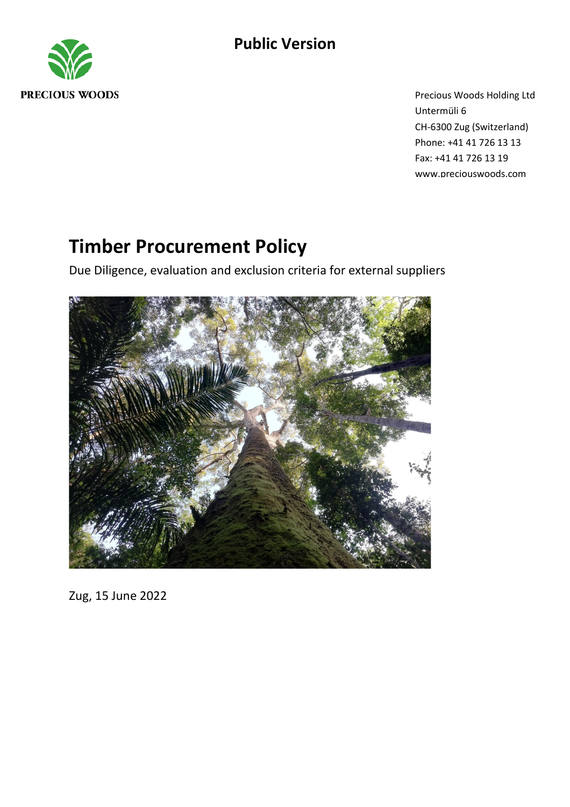

Precious Woods Holding Ltd Untermüli 6 CH-6300 Zug (Switzerland) Phone: +41 41 726 13 13 Fax: +41 41 726 13 19 www.preciouswoods.com

# **Timber Procurement Policy**

Due Diligence, evaluation and exclusion criteria for external suppliers



Zug, 15 June 2022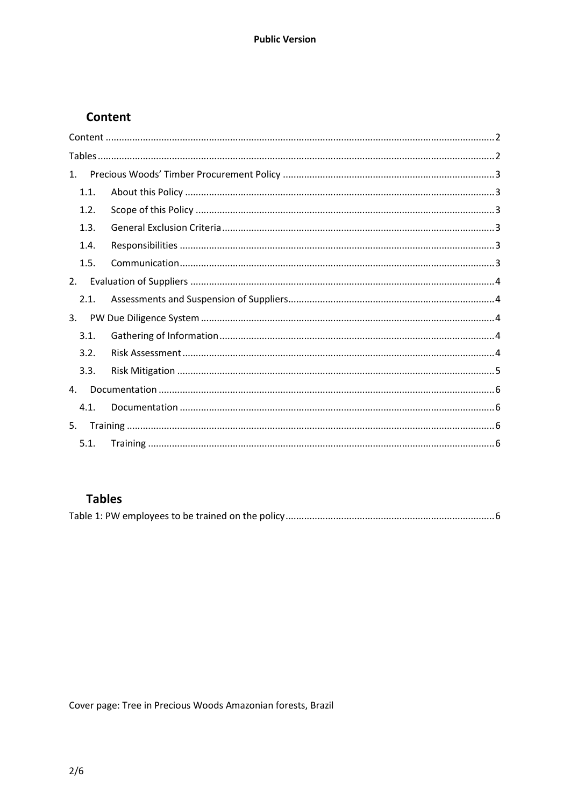# <span id="page-1-0"></span>Content

| 1.   |  |
|------|--|
| 1.1. |  |
| 1.2. |  |
| 1.3. |  |
| 1.4. |  |
| 1.5. |  |
| 2.   |  |
| 2.1. |  |
| 3.   |  |
| 3.1. |  |
| 3.2. |  |
| 3.3. |  |
| 4.   |  |
| 4.1. |  |
| 5.   |  |
| 5.1. |  |

# <span id="page-1-1"></span>**Tables**

|--|

Cover page: Tree in Precious Woods Amazonian forests, Brazil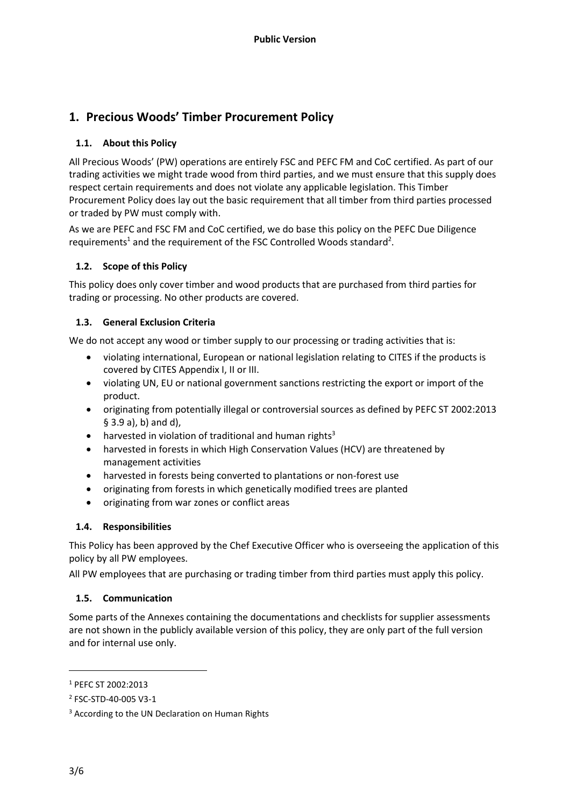# <span id="page-2-0"></span>**1. Precious Woods' Timber Procurement Policy**

#### <span id="page-2-1"></span>**1.1. About this Policy**

All Precious Woods' (PW) operations are entirely FSC and PEFC FM and CoC certified. As part of our trading activities we might trade wood from third parties, and we must ensure that this supply does respect certain requirements and does not violate any applicable legislation. This Timber Procurement Policy does lay out the basic requirement that all timber from third parties processed or traded by PW must comply with.

As we are PEFC and FSC FM and CoC certified, we do base this policy on the PEFC Due Diligence requirements<sup>1</sup> and the requirement of the FSC Controlled Woods standard<sup>2</sup>.

## <span id="page-2-2"></span>**1.2. Scope of this Policy**

This policy does only cover timber and wood products that are purchased from third parties for trading or processing. No other products are covered.

#### <span id="page-2-3"></span>**1.3. General Exclusion Criteria**

We do not accept any wood or timber supply to our processing or trading activities that is:

- violating international, European or national legislation relating to CITES if the products is covered by CITES Appendix I, II or III.
- violating UN, EU or national government sanctions restricting the export or import of the product.
- originating from potentially illegal or controversial sources as defined by PEFC ST 2002:2013 § 3.9 a), b) and d),
- harvested in violation of traditional and human rights<sup>3</sup>
- harvested in forests in which High Conservation Values (HCV) are threatened by management activities
- harvested in forests being converted to plantations or non-forest use
- originating from forests in which genetically modified trees are planted
- originating from war zones or conflict areas

#### <span id="page-2-4"></span>**1.4. Responsibilities**

This Policy has been approved by the Chef Executive Officer who is overseeing the application of this policy by all PW employees.

All PW employees that are purchasing or trading timber from third parties must apply this policy.

#### <span id="page-2-5"></span>**1.5. Communication**

Some parts of the Annexes containing the documentations and checklists for supplier assessments are not shown in the publicly available version of this policy, they are only part of the full version and for internal use only.

<sup>1</sup> PEFC ST 2002:2013

<sup>2</sup> FSC-STD-40-005 V3-1

<sup>&</sup>lt;sup>3</sup> According to the UN Declaration on Human Rights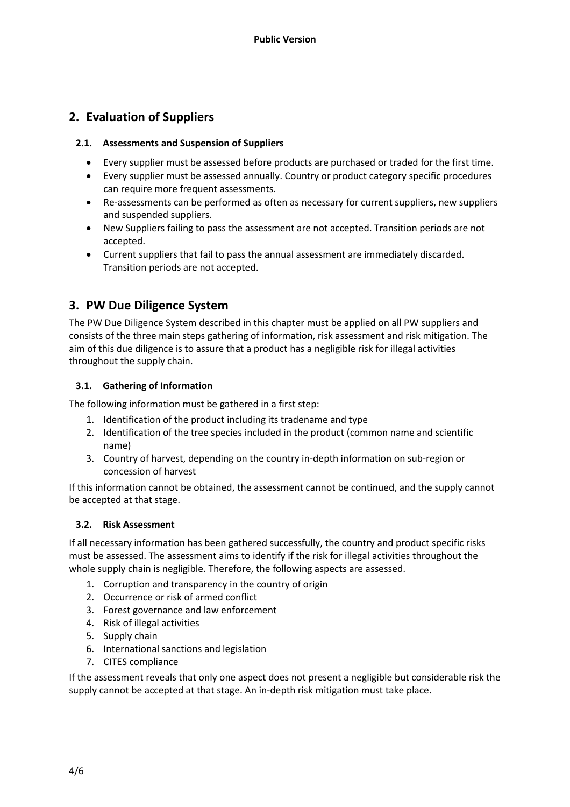# <span id="page-3-0"></span>**2. Evaluation of Suppliers**

#### <span id="page-3-1"></span>**2.1. Assessments and Suspension of Suppliers**

- Every supplier must be assessed before products are purchased or traded for the first time.
- Every supplier must be assessed annually. Country or product category specific procedures can require more frequent assessments.
- Re-assessments can be performed as often as necessary for current suppliers, new suppliers and suspended suppliers.
- New Suppliers failing to pass the assessment are not accepted. Transition periods are not accepted.
- Current suppliers that fail to pass the annual assessment are immediately discarded. Transition periods are not accepted.

## <span id="page-3-2"></span>**3. PW Due Diligence System**

The PW Due Diligence System described in this chapter must be applied on all PW suppliers and consists of the three main steps gathering of information, risk assessment and risk mitigation. The aim of this due diligence is to assure that a product has a negligible risk for illegal activities throughout the supply chain.

#### <span id="page-3-3"></span>**3.1. Gathering of Information**

The following information must be gathered in a first step:

- 1. Identification of the product including its tradename and type
- 2. Identification of the tree species included in the product (common name and scientific name)
- 3. Country of harvest, depending on the country in-depth information on sub-region or concession of harvest

If this information cannot be obtained, the assessment cannot be continued, and the supply cannot be accepted at that stage.

#### <span id="page-3-4"></span>**3.2. Risk Assessment**

If all necessary information has been gathered successfully, the country and product specific risks must be assessed. The assessment aims to identify if the risk for illegal activities throughout the whole supply chain is negligible. Therefore, the following aspects are assessed.

- 1. Corruption and transparency in the country of origin
- 2. Occurrence or risk of armed conflict
- 3. Forest governance and law enforcement
- 4. Risk of illegal activities
- 5. Supply chain
- 6. International sanctions and legislation
- 7. CITES compliance

If the assessment reveals that only one aspect does not present a negligible but considerable risk the supply cannot be accepted at that stage. An in-depth risk mitigation must take place.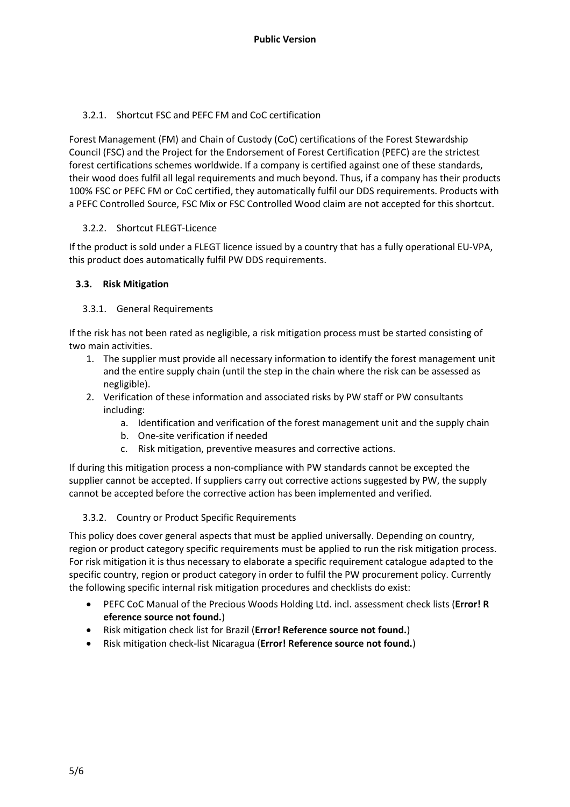## 3.2.1. Shortcut FSC and PEFC FM and CoC certification

Forest Management (FM) and Chain of Custody (CoC) certifications of the Forest Stewardship Council (FSC) and the Project for the Endorsement of Forest Certification (PEFC) are the strictest forest certifications schemes worldwide. If a company is certified against one of these standards, their wood does fulfil all legal requirements and much beyond. Thus, if a company has their products 100% FSC or PEFC FM or CoC certified, they automatically fulfil our DDS requirements. Products with a PEFC Controlled Source, FSC Mix or FSC Controlled Wood claim are not accepted for this shortcut.

#### 3.2.2. Shortcut FLEGT-Licence

If the product is sold under a FLEGT licence issued by a country that has a fully operational EU-VPA, this product does automatically fulfil PW DDS requirements.

## <span id="page-4-0"></span>**3.3. Risk Mitigation**

## 3.3.1. General Requirements

If the risk has not been rated as negligible, a risk mitigation process must be started consisting of two main activities.

- 1. The supplier must provide all necessary information to identify the forest management unit and the entire supply chain (until the step in the chain where the risk can be assessed as negligible).
- 2. Verification of these information and associated risks by PW staff or PW consultants including:
	- a. Identification and verification of the forest management unit and the supply chain
	- b. One-site verification if needed
	- c. Risk mitigation, preventive measures and corrective actions.

If during this mitigation process a non-compliance with PW standards cannot be excepted the supplier cannot be accepted. If suppliers carry out corrective actions suggested by PW, the supply cannot be accepted before the corrective action has been implemented and verified.

#### 3.3.2. Country or Product Specific Requirements

This policy does cover general aspects that must be applied universally. Depending on country, region or product category specific requirements must be applied to run the risk mitigation process. For risk mitigation it is thus necessary to elaborate a specific requirement catalogue adapted to the specific country, region or product category in order to fulfil the PW procurement policy. Currently the following specific internal risk mitigation procedures and checklists do exist:

- PEFC CoC Manual of the Precious Woods Holding Ltd. incl. assessment check lists (**Error! R eference source not found.**)
- Risk mitigation check list for Brazil (**Error! Reference source not found.**)
- Risk mitigation check-list Nicaragua (**Error! Reference source not found.**)